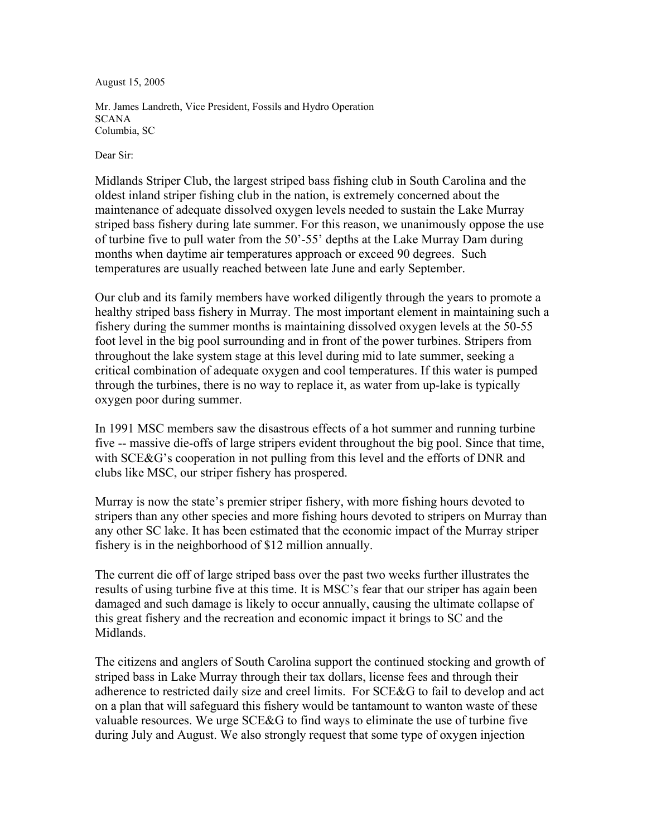August 15, 2005

Mr. James Landreth, Vice President, Fossils and Hydro Operation **SCANA** Columbia, SC

Dear Sir:

Midlands Striper Club, the largest striped bass fishing club in South Carolina and the oldest inland striper fishing club in the nation, is extremely concerned about the maintenance of adequate dissolved oxygen levels needed to sustain the Lake Murray striped bass fishery during late summer. For this reason, we unanimously oppose the use of turbine five to pull water from the 50'-55' depths at the Lake Murray Dam during months when daytime air temperatures approach or exceed 90 degrees. Such temperatures are usually reached between late June and early September.

Our club and its family members have worked diligently through the years to promote a healthy striped bass fishery in Murray. The most important element in maintaining such a fishery during the summer months is maintaining dissolved oxygen levels at the 50-55 foot level in the big pool surrounding and in front of the power turbines. Stripers from throughout the lake system stage at this level during mid to late summer, seeking a critical combination of adequate oxygen and cool temperatures. If this water is pumped through the turbines, there is no way to replace it, as water from up-lake is typically oxygen poor during summer.

In 1991 MSC members saw the disastrous effects of a hot summer and running turbine five -- massive die-offs of large stripers evident throughout the big pool. Since that time, with SCE&G's cooperation in not pulling from this level and the efforts of DNR and clubs like MSC, our striper fishery has prospered.

Murray is now the state's premier striper fishery, with more fishing hours devoted to stripers than any other species and more fishing hours devoted to stripers on Murray than any other SC lake. It has been estimated that the economic impact of the Murray striper fishery is in the neighborhood of \$12 million annually.

The current die off of large striped bass over the past two weeks further illustrates the results of using turbine five at this time. It is MSC's fear that our striper has again been damaged and such damage is likely to occur annually, causing the ultimate collapse of this great fishery and the recreation and economic impact it brings to SC and the Midlands.

The citizens and anglers of South Carolina support the continued stocking and growth of striped bass in Lake Murray through their tax dollars, license fees and through their adherence to restricted daily size and creel limits. For SCE&G to fail to develop and act on a plan that will safeguard this fishery would be tantamount to wanton waste of these valuable resources. We urge SCE&G to find ways to eliminate the use of turbine five during July and August. We also strongly request that some type of oxygen injection